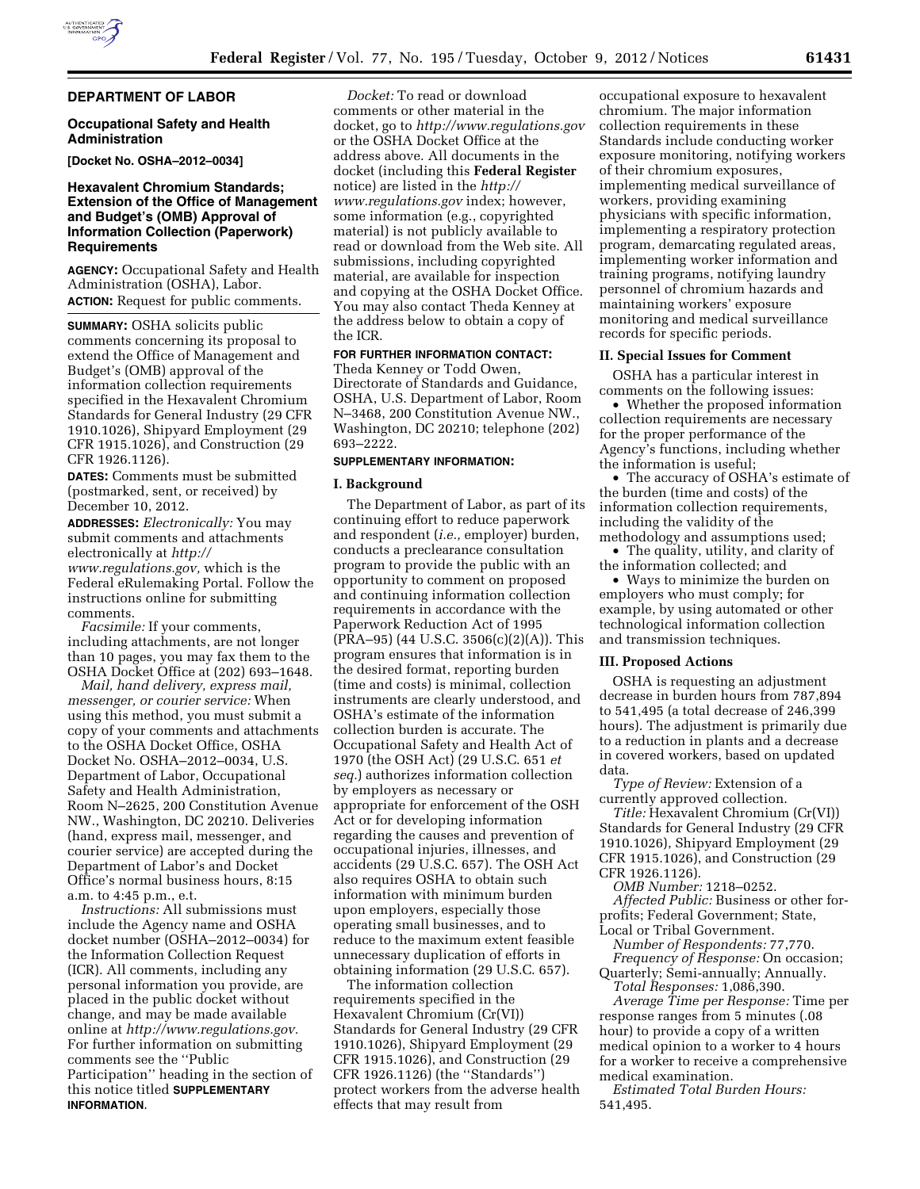### **DEPARTMENT OF LABOR**

### **Occupational Safety and Health Administration**

**[Docket No. OSHA–2012–0034]** 

## **Hexavalent Chromium Standards; Extension of the Office of Management and Budget's (OMB) Approval of Information Collection (Paperwork) Requirements**

**AGENCY:** Occupational Safety and Health Administration (OSHA), Labor. **ACTION:** Request for public comments.

**SUMMARY:** OSHA solicits public comments concerning its proposal to extend the Office of Management and Budget's (OMB) approval of the information collection requirements specified in the Hexavalent Chromium Standards for General Industry (29 CFR 1910.1026), Shipyard Employment (29 CFR 1915.1026), and Construction (29 CFR 1926.1126).

**DATES:** Comments must be submitted (postmarked, sent, or received) by December 10, 2012.

**ADDRESSES:** *Electronically:* You may submit comments and attachments electronically at *[http://](http://www.regulations.gov) [www.regulations.gov,](http://www.regulations.gov)* which is the Federal eRulemaking Portal. Follow the instructions online for submitting comments.

*Facsimile:* If your comments, including attachments, are not longer than 10 pages, you may fax them to the OSHA Docket Office at (202) 693–1648.

*Mail, hand delivery, express mail, messenger, or courier service:* When using this method, you must submit a copy of your comments and attachments to the OSHA Docket Office, OSHA Docket No. OSHA–2012–0034, U.S. Department of Labor, Occupational Safety and Health Administration, Room N–2625, 200 Constitution Avenue NW., Washington, DC 20210. Deliveries (hand, express mail, messenger, and courier service) are accepted during the Department of Labor's and Docket Office's normal business hours, 8:15 a.m. to 4:45 p.m., e.t.

*Instructions:* All submissions must include the Agency name and OSHA docket number (OSHA–2012–0034) for the Information Collection Request (ICR). All comments, including any personal information you provide, are placed in the public docket without change, and may be made available online at *[http://www.regulations.gov.](http://www.regulations.gov)*  For further information on submitting comments see the ''Public Participation'' heading in the section of this notice titled **SUPPLEMENTARY INFORMATION**.

*Docket:* To read or download comments or other material in the docket, go to *<http://www.regulations.gov>*  or the OSHA Docket Office at the address above. All documents in the docket (including this **Federal Register**  notice) are listed in the *[http://](http://www.regulations.gov) [www.regulations.gov](http://www.regulations.gov)* index; however, some information (e.g., copyrighted material) is not publicly available to read or download from the Web site. All submissions, including copyrighted material, are available for inspection and copying at the OSHA Docket Office. You may also contact Theda Kenney at the address below to obtain a copy of the ICR.

# **FOR FURTHER INFORMATION CONTACT:**

Theda Kenney or Todd Owen, Directorate of Standards and Guidance, OSHA, U.S. Department of Labor, Room N–3468, 200 Constitution Avenue NW., Washington, DC 20210; telephone (202) 693–2222.

## **SUPPLEMENTARY INFORMATION:**

#### **I. Background**

The Department of Labor, as part of its continuing effort to reduce paperwork and respondent (*i.e.,* employer) burden, conducts a preclearance consultation program to provide the public with an opportunity to comment on proposed and continuing information collection requirements in accordance with the Paperwork Reduction Act of 1995 (PRA–95) (44 U.S.C. 3506(c)(2)(A)). This program ensures that information is in the desired format, reporting burden (time and costs) is minimal, collection instruments are clearly understood, and OSHA's estimate of the information collection burden is accurate. The Occupational Safety and Health Act of 1970 (the OSH Act) (29 U.S.C. 651 *et seq.*) authorizes information collection by employers as necessary or appropriate for enforcement of the OSH Act or for developing information regarding the causes and prevention of occupational injuries, illnesses, and accidents (29 U.S.C. 657). The OSH Act also requires OSHA to obtain such information with minimum burden upon employers, especially those operating small businesses, and to reduce to the maximum extent feasible unnecessary duplication of efforts in obtaining information (29 U.S.C. 657).

The information collection requirements specified in the Hexavalent Chromium (Cr(VI)) Standards for General Industry (29 CFR 1910.1026), Shipyard Employment (29 CFR 1915.1026), and Construction (29 CFR 1926.1126) (the ''Standards'') protect workers from the adverse health effects that may result from

occupational exposure to hexavalent chromium. The major information collection requirements in these Standards include conducting worker exposure monitoring, notifying workers of their chromium exposures, implementing medical surveillance of workers, providing examining physicians with specific information, implementing a respiratory protection program, demarcating regulated areas, implementing worker information and training programs, notifying laundry personnel of chromium hazards and maintaining workers' exposure monitoring and medical surveillance records for specific periods.

#### **II. Special Issues for Comment**

OSHA has a particular interest in comments on the following issues:

• Whether the proposed information collection requirements are necessary for the proper performance of the Agency's functions, including whether the information is useful;

• The accuracy of OSHA's estimate of the burden (time and costs) of the information collection requirements, including the validity of the methodology and assumptions used;

• The quality, utility, and clarity of the information collected; and

• Ways to minimize the burden on employers who must comply; for example, by using automated or other technological information collection and transmission techniques.

### **III. Proposed Actions**

OSHA is requesting an adjustment decrease in burden hours from 787,894 to 541,495 (a total decrease of 246,399 hours). The adjustment is primarily due to a reduction in plants and a decrease in covered workers, based on updated data.

*Type of Review:* Extension of a currently approved collection.

*Title:* Hexavalent Chromium (Cr(VI)) Standards for General Industry (29 CFR 1910.1026), Shipyard Employment (29 CFR 1915.1026), and Construction (29 CFR 1926.1126).

*OMB Number:* 1218–0252. *Affected Public:* Business or other forprofits; Federal Government; State, Local or Tribal Government.

*Number of Respondents:* 77,770.

*Frequency of Response:* On occasion; Quarterly; Semi-annually; Annually. *Total Responses:* 1,086,390.

*Average Time per Response:* Time per response ranges from 5 minutes (.08 hour) to provide a copy of a written medical opinion to a worker to 4 hours for a worker to receive a comprehensive medical examination.

*Estimated Total Burden Hours:*  541,495.